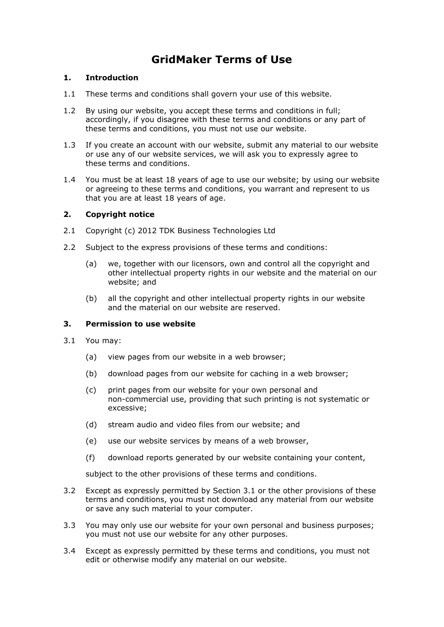# **GridMaker Terms of Use**

## **1. Introduction**

- 1.1 These terms and conditions shall govern your use of this website.
- 1.2 By using our website, you accept these terms and conditions in full; accordingly, if you disagree with these terms and conditions or any part of these terms and conditions, you must not use our website.
- 1.3 If you create an account with our website, submit any material to our website or use any of our website services, we will ask you to expressly agree to these terms and conditions.
- 1.4 You must be at least 18 years of age to use our website; by using our website or agreeing to these terms and conditions, you warrant and represent to us that you are at least 18 years of age.

## **2. Copyright notice**

- 2.1 Copyright (c) 2012 TDK Business Technologies Ltd
- 2.2 Subject to the express provisions of these terms and conditions:
	- (a) we, together with our licensors, own and control all the copyright and other intellectual property rights in our website and the material on our website; and
	- (b) all the copyright and other intellectual property rights in our website and the material on our website are reserved.

#### **3. Permission to use website**

- 3.1 You may:
	- (a) view pages from our website in a web browser;
	- (b) download pages from our website for caching in a web browser;
	- (c) print pages from our website for your own personal and non-commercial use, providing that such printing is not systematic or excessive;
	- (d) stream audio and video files from our website; and
	- (e) use our website services by means of a web browser,
	- (f) download reports generated by our website containing your content,

subject to the other provisions of these terms and conditions.

- 3.2 Except as expressly permitted by Section 3.1 or the other provisions of these terms and conditions, you must not download any material from our website or save any such material to your computer.
- 3.3 You may only use our website for your own personal and business purposes; you must not use our website for any other purposes.
- 3.4 Except as expressly permitted by these terms and conditions, you must not edit or otherwise modify any material on our website.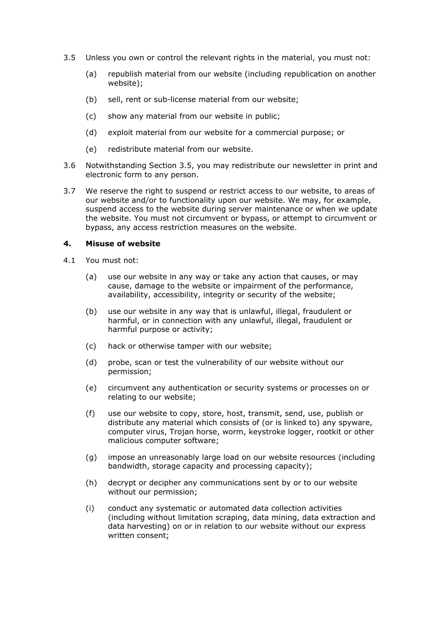- 3.5 Unless you own or control the relevant rights in the material, you must not:
	- (a) republish material from our website (including republication on another website);
	- (b) sell, rent or sub-license material from our website;
	- (c) show any material from our website in public;
	- (d) exploit material from our website for a commercial purpose; or
	- (e) redistribute material from our website.
- 3.6 Notwithstanding Section 3.5, you may redistribute our newsletter in print and electronic form to any person.
- 3.7 We reserve the right to suspend or restrict access to our website, to areas of our website and/or to functionality upon our website. We may, for example, suspend access to the website during server maintenance or when we update the website. You must not circumvent or bypass, or attempt to circumvent or bypass, any access restriction measures on the website.

#### **4. Misuse of website**

- 4.1 You must not:
	- (a) use our website in any way or take any action that causes, or may cause, damage to the website or impairment of the performance, availability, accessibility, integrity or security of the website;
	- (b) use our website in any way that is unlawful, illegal, fraudulent or harmful, or in connection with any unlawful, illegal, fraudulent or harmful purpose or activity;
	- (c) hack or otherwise tamper with our website;
	- (d) probe, scan or test the vulnerability of our website without our permission;
	- (e) circumvent any authentication or security systems or processes on or relating to our website;
	- (f) use our website to copy, store, host, transmit, send, use, publish or distribute any material which consists of (or is linked to) any spyware, computer virus, Trojan horse, worm, keystroke logger, rootkit or other malicious computer software;
	- (g) impose an unreasonably large load on our website resources (including bandwidth, storage capacity and processing capacity);
	- (h) decrypt or decipher any communications sent by or to our website without our permission;
	- (i) conduct any systematic or automated data collection activities (including without limitation scraping, data mining, data extraction and data harvesting) on or in relation to our website without our express written consent;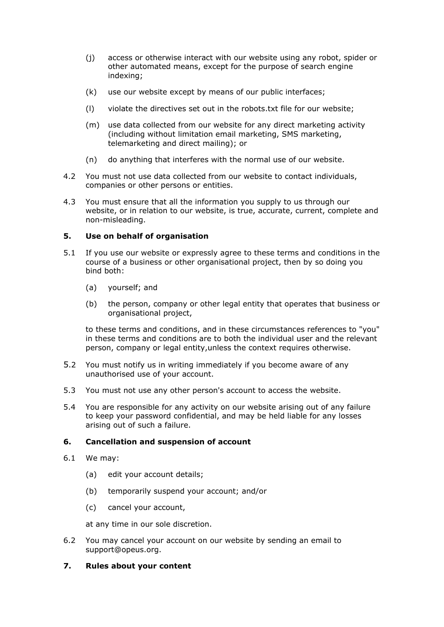- (j) access or otherwise interact with our website using any robot, spider or other automated means, except for the purpose of search engine indexing;
- (k) use our website except by means of our public interfaces;
- (l) violate the directives set out in the robots.txt file for our website;
- (m) use data collected from our website for any direct marketing activity (including without limitation email marketing, SMS marketing, telemarketing and direct mailing); or
- (n) do anything that interferes with the normal use of our website.
- 4.2 You must not use data collected from our website to contact individuals, companies or other persons or entities.
- 4.3 You must ensure that all the information you supply to us through our website, or in relation to our website, is true, accurate, current, complete and non-misleading.

# **5. Use on behalf of organisation**

- 5.1 If you use our website or expressly agree to these terms and conditions in the course of a business or other organisational project, then by so doing you bind both:
	- (a) yourself; and
	- (b) the person, company or other legal entity that operates that business or organisational project,

to these terms and conditions, and in these circumstances references to "you" in these terms and conditions are to both the individual user and the relevant person, company or legal entity,unless the context requires otherwise.

- 5.2 You must notify us in writing immediately if you become aware of any unauthorised use of your account.
- 5.3 You must not use any other person's account to access the website.
- 5.4 You are responsible for any activity on our website arising out of any failure to keep your password confidential, and may be held liable for any losses arising out of such a failure.

# **6. Cancellation and suspension of account**

- 6.1 We may:
	- (a) edit your account details;
	- (b) temporarily suspend your account; and/or
	- (c) cancel your account,

at any time in our sole discretion.

6.2 You may cancel your account on our website by sending an email to support@opeus.org.

## **7. Rules about your content**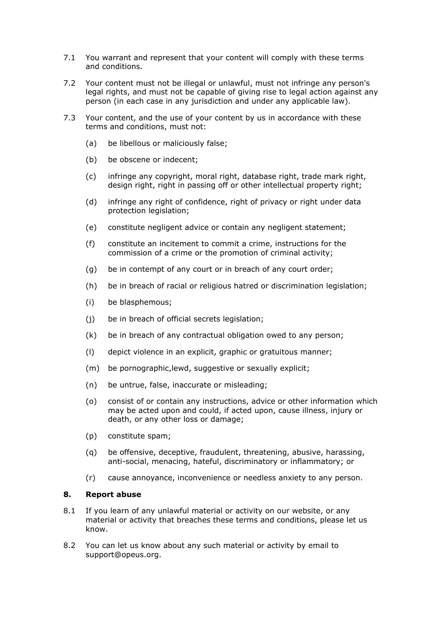- 7.1 You warrant and represent that your content will comply with these terms and conditions.
- 7.2 Your content must not be illegal or unlawful, must not infringe any person's legal rights, and must not be capable of giving rise to legal action against any person (in each case in any jurisdiction and under any applicable law).
- 7.3 Your content, and the use of your content by us in accordance with these terms and conditions, must not:
	- (a) be libellous or maliciously false;
	- (b) be obscene or indecent;
	- (c) infringe any copyright, moral right, database right, trade mark right, design right, right in passing off or other intellectual property right;
	- (d) infringe any right of confidence, right of privacy or right under data protection legislation;
	- (e) constitute negligent advice or contain any negligent statement;
	- (f) constitute an incitement to commit a crime, instructions for the commission of a crime or the promotion of criminal activity;
	- (g) be in contempt of any court or in breach of any court order;
	- (h) be in breach of racial or religious hatred or discrimination legislation;
	- (i) be blasphemous;
	- (j) be in breach of official secrets legislation;
	- (k) be in breach of any contractual obligation owed to any person;
	- (l) depict violence in an explicit, graphic or gratuitous manner;
	- (m) be pornographic,lewd, suggestive or sexually explicit;
	- (n) be untrue, false, inaccurate or misleading;
	- (o) consist of or contain any instructions, advice or other information which may be acted upon and could, if acted upon, cause illness, injury or death, or any other loss or damage;
	- (p) constitute spam;
	- (q) be offensive, deceptive, fraudulent, threatening, abusive, harassing, anti-social, menacing, hateful, discriminatory or inflammatory; or
	- (r) cause annoyance, inconvenience or needless anxiety to any person.

## **8. Report abuse**

- 8.1 If you learn of any unlawful material or activity on our website, or any material or activity that breaches these terms and conditions, please let us know.
- 8.2 You can let us know about any such material or activity by email to support@opeus.org.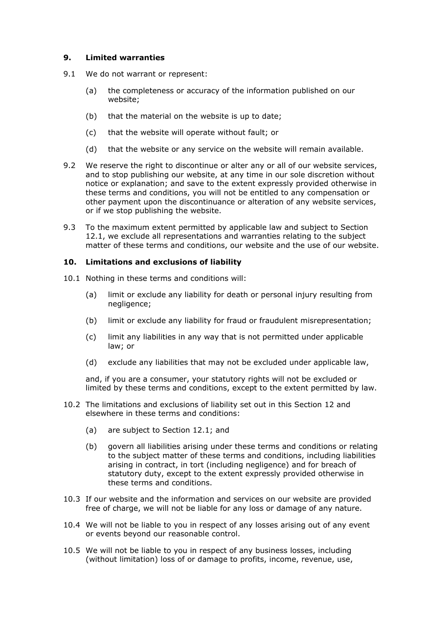## **9. Limited warranties**

- 9.1 We do not warrant or represent:
	- (a) the completeness or accuracy of the information published on our website;
	- (b) that the material on the website is up to date;
	- (c) that the website will operate without fault; or
	- (d) that the website or any service on the website will remain available.
- 9.2 We reserve the right to discontinue or alter any or all of our website services, and to stop publishing our website, at any time in our sole discretion without notice or explanation; and save to the extent expressly provided otherwise in these terms and conditions, you will not be entitled to any compensation or other payment upon the discontinuance or alteration of any website services, or if we stop publishing the website.
- 9.3 To the maximum extent permitted by applicable law and subject to Section 12.1, we exclude all representations and warranties relating to the subject matter of these terms and conditions, our website and the use of our website.

#### **10. Limitations and exclusions of liability**

- 10.1 Nothing in these terms and conditions will:
	- (a) limit or exclude any liability for death or personal injury resulting from negligence;
	- (b) limit or exclude any liability for fraud or fraudulent misrepresentation;
	- (c) limit any liabilities in any way that is not permitted under applicable law; or
	- (d) exclude any liabilities that may not be excluded under applicable law,

and, if you are a consumer, your statutory rights will not be excluded or limited by these terms and conditions, except to the extent permitted by law.

- 10.2 The limitations and exclusions of liability set out in this Section 12 and elsewhere in these terms and conditions:
	- (a) are subject to Section 12.1; and
	- (b) govern all liabilities arising under these terms and conditions or relating to the subject matter of these terms and conditions, including liabilities arising in contract, in tort (including negligence) and for breach of statutory duty, except to the extent expressly provided otherwise in these terms and conditions.
- 10.3 If our website and the information and services on our website are provided free of charge, we will not be liable for any loss or damage of any nature.
- 10.4 We will not be liable to you in respect of any losses arising out of any event or events beyond our reasonable control.
- 10.5 We will not be liable to you in respect of any business losses, including (without limitation) loss of or damage to profits, income, revenue, use,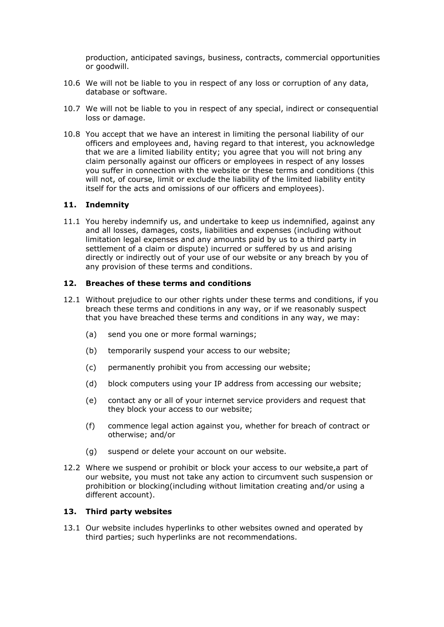production, anticipated savings, business, contracts, commercial opportunities or goodwill.

- 10.6 We will not be liable to you in respect of any loss or corruption of any data, database or software.
- 10.7 We will not be liable to you in respect of any special, indirect or consequential loss or damage.
- 10.8 You accept that we have an interest in limiting the personal liability of our officers and employees and, having regard to that interest, you acknowledge that we are a limited liability entity; you agree that you will not bring any claim personally against our officers or employees in respect of any losses you suffer in connection with the website or these terms and conditions (this will not, of course, limit or exclude the liability of the limited liability entity itself for the acts and omissions of our officers and employees).

#### **11. Indemnity**

11.1 You hereby indemnify us, and undertake to keep us indemnified, against any and all losses, damages, costs, liabilities and expenses (including without limitation legal expenses and any amounts paid by us to a third party in settlement of a claim or dispute) incurred or suffered by us and arising directly or indirectly out of your use of our website or any breach by you of any provision of these terms and conditions.

#### **12. Breaches of these terms and conditions**

- 12.1 Without prejudice to our other rights under these terms and conditions, if you breach these terms and conditions in any way, or if we reasonably suspect that you have breached these terms and conditions in any way, we may:
	- (a) send you one or more formal warnings;
	- (b) temporarily suspend your access to our website;
	- (c) permanently prohibit you from accessing our website;
	- (d) block computers using your IP address from accessing our website;
	- (e) contact any or all of your internet service providers and request that they block your access to our website;
	- (f) commence legal action against you, whether for breach of contract or otherwise; and/or
	- (g) suspend or delete your account on our website.
- 12.2 Where we suspend or prohibit or block your access to our website,a part of our website, you must not take any action to circumvent such suspension or prohibition or blocking(including without limitation creating and/or using a different account).

#### **13. Third party websites**

13.1 Our website includes hyperlinks to other websites owned and operated by third parties; such hyperlinks are not recommendations.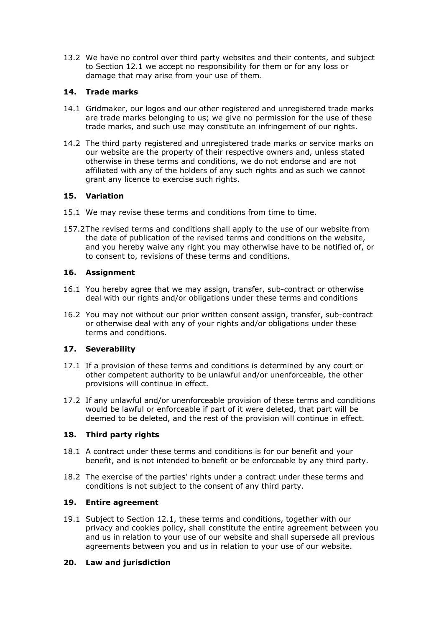13.2 We have no control over third party websites and their contents, and subject to Section 12.1 we accept no responsibility for them or for any loss or damage that may arise from your use of them.

# **14. Trade marks**

- 14.1 Gridmaker, our logos and our other registered and unregistered trade marks are trade marks belonging to us; we give no permission for the use of these trade marks, and such use may constitute an infringement of our rights.
- 14.2 The third party registered and unregistered trade marks or service marks on our website are the property of their respective owners and, unless stated otherwise in these terms and conditions, we do not endorse and are not affiliated with any of the holders of any such rights and as such we cannot grant any licence to exercise such rights.

# **15. Variation**

- 15.1 We may revise these terms and conditions from time to time.
- 157.2The revised terms and conditions shall apply to the use of our website from the date of publication of the revised terms and conditions on the website, and you hereby waive any right you may otherwise have to be notified of, or to consent to, revisions of these terms and conditions.

# **16. Assignment**

- 16.1 You hereby agree that we may assign, transfer, sub-contract or otherwise deal with our rights and/or obligations under these terms and conditions
- 16.2 You may not without our prior written consent assign, transfer, sub-contract or otherwise deal with any of your rights and/or obligations under these terms and conditions.

# **17. Severability**

- 17.1 If a provision of these terms and conditions is determined by any court or other competent authority to be unlawful and/or unenforceable, the other provisions will continue in effect.
- 17.2 If any unlawful and/or unenforceable provision of these terms and conditions would be lawful or enforceable if part of it were deleted, that part will be deemed to be deleted, and the rest of the provision will continue in effect.

# **18. Third party rights**

- 18.1 A contract under these terms and conditions is for our benefit and your benefit, and is not intended to benefit or be enforceable by any third party.
- 18.2 The exercise of the parties' rights under a contract under these terms and conditions is not subject to the consent of any third party.

# **19. Entire agreement**

19.1 Subject to Section 12.1, these terms and conditions, together with our privacy and cookies policy, shall constitute the entire agreement between you and us in relation to your use of our website and shall supersede all previous agreements between you and us in relation to your use of our website.

# **20. Law and jurisdiction**